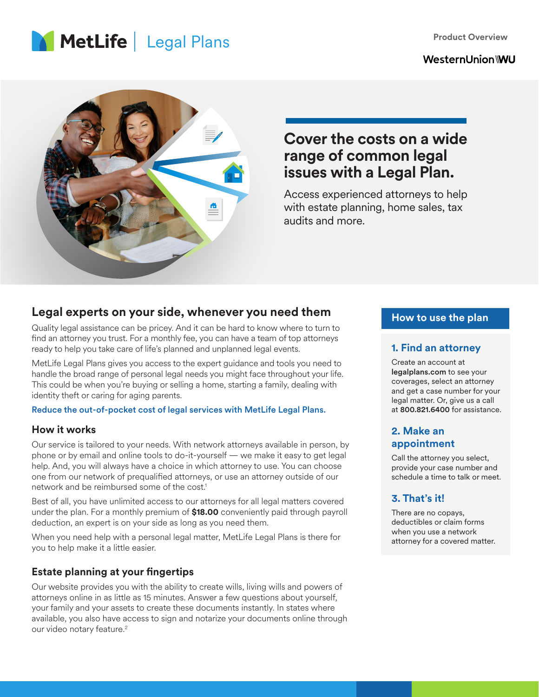**Product Overview**

# **MetLife** Legal Plans

# **WesternUnion\WU**



# **Cover the costs on a wide range of common legal issues with a Legal Plan.**

Access experienced attorneys to help with estate planning, home sales, tax audits and more.

# **Legal experts on your side, whenever you need them**

Quality legal assistance can be pricey. And it can be hard to know where to turn to find an attorney you trust. For a monthly fee, you can have a team of top attorneys ready to help you take care of life's planned and unplanned legal events.

MetLife Legal Plans gives you access to the expert guidance and tools you need to handle the broad range of personal legal needs you might face throughout your life. This could be when you're buying or selling a home, starting a family, dealing with identity theft or caring for aging parents.

#### Reduce the out-of-pocket cost of legal services with MetLife Legal Plans.

#### **How it works**

Our service is tailored to your needs. With network attorneys available in person, by phone or by email and online tools to do-it-yourself — we make it easy to get legal help. And, you will always have a choice in which attorney to use. You can choose one from our network of prequalified attorneys, or use an attorney outside of our network and be reimbursed some of the cost.<sup>1</sup>

Best of all, you have unlimited access to our attorneys for all legal matters covered under the plan. For a monthly premium of **\$18.00** conveniently paid through payroll deduction, an expert is on your side as long as you need them.

When you need help with a personal legal matter, MetLife Legal Plans is there for you to help make it a little easier.

# **Estate planning at your fingertips**

Our website provides you with the ability to create wills, living wills and powers of attorneys online in as little as 15 minutes. Answer a few questions about yourself, your family and your assets to create these documents instantly. In states where available, you also have access to sign and notarize your documents online through our video notary feature.<sup>2</sup>

### **How to use the plan**

#### **1. Find an attorney**

Create an account at legalplans.com to see your coverages, select an attorney and get a case number for your legal matter. Or, give us a call at 800.821.6400 for assistance.

### **2. Make an appointment**

Call the attorney you select, provide your case number and schedule a time to talk or meet.

# **3. That's it!**

There are no copays, deductibles or claim forms when you use a network attorney for a covered matter.